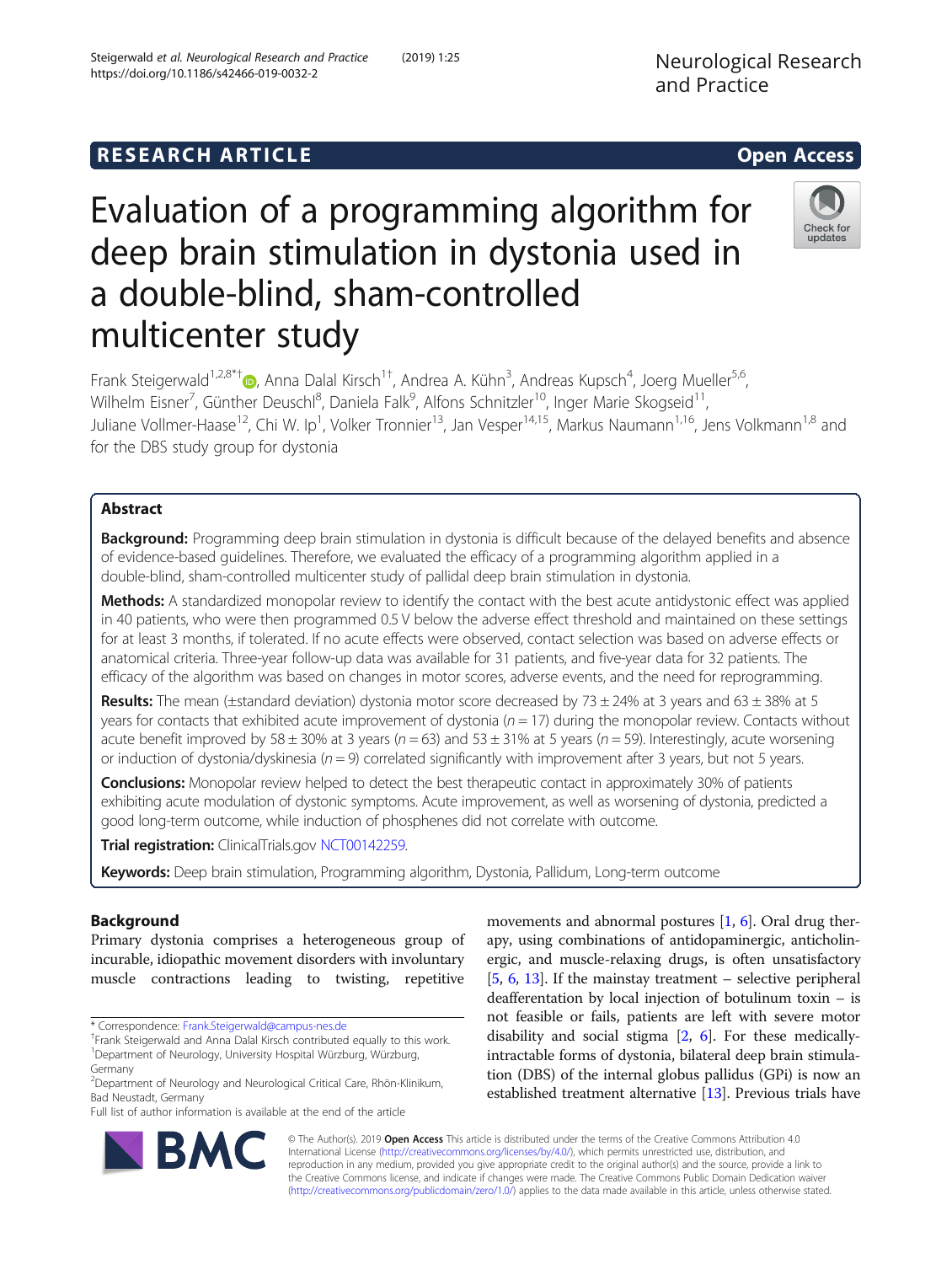# **RESEARCH ARTICLE Example 2014 CONSIDERING CONSIDERING CONSIDERING CONSIDERING CONSIDERING CONSIDERING CONSIDERING CONSIDERING CONSIDERING CONSIDERING CONSIDERING CONSIDERING CONSIDERING CONSIDERING CONSIDERING CONSIDE**

# Evaluation of a programming algorithm for deep brain stimulation in dystonia used in a double-blind, sham-controlled multicenter study

Frank Steigerwald<sup>1[,](http://orcid.org/0000-0002-8305-1684)2,8\*†</sup>®, Anna Dalal Kirsch<sup>1†</sup>, Andrea A. Kühn<sup>3</sup>, Andreas Kupsch<sup>4</sup>, Joerg Mueller<sup>5,6</sup>, Wilhelm Eisner<sup>7</sup>, Günther Deuschl<sup>8</sup>, Daniela Falk<sup>9</sup>, Alfons Schnitzler<sup>10</sup>, Inger Marie Skogseid<sup>11</sup>, Juliane Vollmer-Haase<sup>12</sup>, Chi W. Ip<sup>1</sup>, Volker Tronnier<sup>13</sup>, Jan Vesper<sup>14,15</sup>, Markus Naumann<sup>1,16</sup>, Jens Volkmann<sup>1,8</sup> and for the DBS study group for dystonia

# Abstract

Background: Programming deep brain stimulation in dystonia is difficult because of the delayed benefits and absence of evidence-based guidelines. Therefore, we evaluated the efficacy of a programming algorithm applied in a double-blind, sham-controlled multicenter study of pallidal deep brain stimulation in dystonia.

Methods: A standardized monopolar review to identify the contact with the best acute antidystonic effect was applied in 40 patients, who were then programmed 0.5 V below the adverse effect threshold and maintained on these settings for at least 3 months, if tolerated. If no acute effects were observed, contact selection was based on adverse effects or anatomical criteria. Three-year follow-up data was available for 31 patients, and five-year data for 32 patients. The efficacy of the algorithm was based on changes in motor scores, adverse events, and the need for reprogramming.

Results: The mean ( $\pm$ standard deviation) dystonia motor score decreased by 73  $\pm$  24% at 3 years and 63  $\pm$  38% at 5 years for contacts that exhibited acute improvement of dystonia ( $n = 17$ ) during the monopolar review. Contacts without acute benefit improved by 58  $\pm$  30% at 3 years ( $n = 63$ ) and 53  $\pm$  31% at 5 years ( $n = 59$ ). Interestingly, acute worsening or induction of dystonia/dyskinesia ( $n = 9$ ) correlated significantly with improvement after 3 years, but not 5 years.

Conclusions: Monopolar review helped to detect the best therapeutic contact in approximately 30% of patients exhibiting acute modulation of dystonic symptoms. Acute improvement, as well as worsening of dystonia, predicted a good long-term outcome, while induction of phosphenes did not correlate with outcome.

Trial registration: ClinicalTrials.gov [NCT00142259](https://clinicaltrials.gov/ct2/show/NCT00142259).

Keywords: Deep brain stimulation, Programming algorithm, Dystonia, Pallidum, Long-term outcome

# Background

Primary dystonia comprises a heterogeneous group of incurable, idiopathic movement disorders with involuntary muscle contractions leading to twisting, repetitive

Full list of author information is available at the end of the article

apy, using combinations of antidopaminergic, anticholinergic, and muscle-relaxing drugs, is often unsatisfactory [[5,](#page-5-0) [6,](#page-5-0) [13\]](#page-5-0). If the mainstay treatment – selective peripheral deafferentation by local injection of botulinum toxin – is not feasible or fails, patients are left with severe motor disability and social stigma [\[2](#page-5-0), [6\]](#page-5-0). For these medicallyintractable forms of dystonia, bilateral deep brain stimulation (DBS) of the internal globus pallidus (GPi) is now an established treatment alternative [\[13\]](#page-5-0). Previous trials have

movements and abnormal postures [\[1](#page-5-0), [6](#page-5-0)]. Oral drug ther-

© The Author(s). 2019 Open Access This article is distributed under the terms of the Creative Commons Attribution 4.0 International License [\(http://creativecommons.org/licenses/by/4.0/](http://creativecommons.org/licenses/by/4.0/)), which permits unrestricted use, distribution, and reproduction in any medium, provided you give appropriate credit to the original author(s) and the source, provide a link to the Creative Commons license, and indicate if changes were made. The Creative Commons Public Domain Dedication waiver [\(http://creativecommons.org/publicdomain/zero/1.0/](http://creativecommons.org/publicdomain/zero/1.0/)) applies to the data made available in this article, unless otherwise stated.







<sup>\*</sup> Correspondence: [Frank.Steigerwald@campus-nes.de](mailto:Frank.Steigerwald@campus-nes.de) †

Frank Steigerwald and Anna Dalal Kirsch contributed equally to this work. 1 Department of Neurology, University Hospital Würzburg, Würzburg, Germany

<sup>2</sup> Department of Neurology and Neurological Critical Care, Rhön-Klinikum, Bad Neustadt, Germany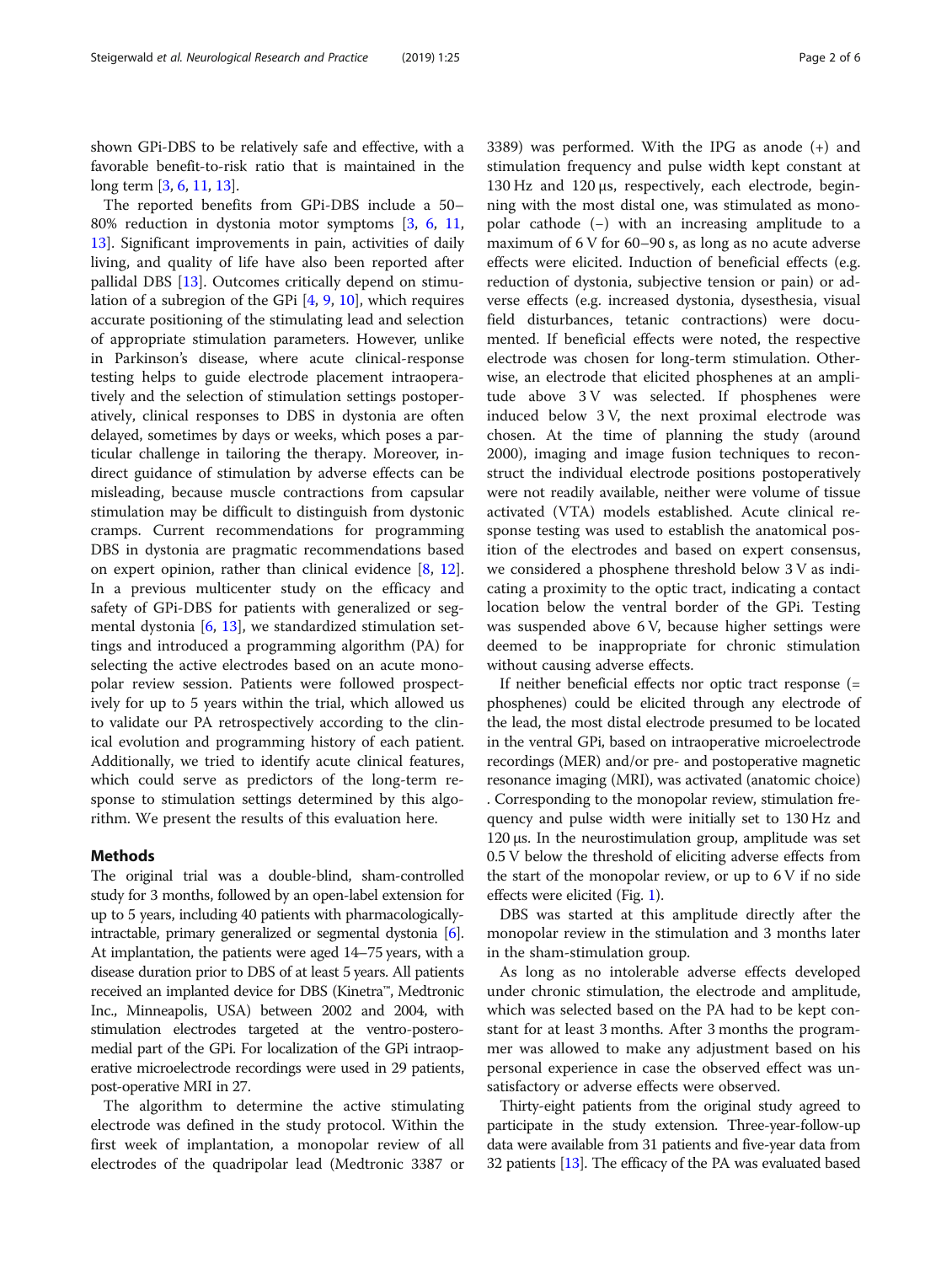shown GPi-DBS to be relatively safe and effective, with a favorable benefit-to-risk ratio that is maintained in the long term [[3](#page-5-0), [6,](#page-5-0) [11](#page-5-0), [13\]](#page-5-0).

The reported benefits from GPi-DBS include a 50– 80% reduction in dystonia motor symptoms [[3](#page-5-0), [6,](#page-5-0) [11](#page-5-0), [13\]](#page-5-0). Significant improvements in pain, activities of daily living, and quality of life have also been reported after pallidal DBS [\[13](#page-5-0)]. Outcomes critically depend on stimulation of a subregion of the GPi [\[4](#page-5-0), [9](#page-5-0), [10\]](#page-5-0), which requires accurate positioning of the stimulating lead and selection of appropriate stimulation parameters. However, unlike in Parkinson's disease, where acute clinical-response testing helps to guide electrode placement intraoperatively and the selection of stimulation settings postoperatively, clinical responses to DBS in dystonia are often delayed, sometimes by days or weeks, which poses a particular challenge in tailoring the therapy. Moreover, indirect guidance of stimulation by adverse effects can be misleading, because muscle contractions from capsular stimulation may be difficult to distinguish from dystonic cramps. Current recommendations for programming DBS in dystonia are pragmatic recommendations based on expert opinion, rather than clinical evidence [\[8](#page-5-0), [12](#page-5-0)]. In a previous multicenter study on the efficacy and safety of GPi-DBS for patients with generalized or segmental dystonia [\[6](#page-5-0), [13](#page-5-0)], we standardized stimulation settings and introduced a programming algorithm (PA) for selecting the active electrodes based on an acute monopolar review session. Patients were followed prospectively for up to 5 years within the trial, which allowed us to validate our PA retrospectively according to the clinical evolution and programming history of each patient. Additionally, we tried to identify acute clinical features, which could serve as predictors of the long-term response to stimulation settings determined by this algorithm. We present the results of this evaluation here.

# Methods

The original trial was a double-blind, sham-controlled study for 3 months, followed by an open-label extension for up to 5 years, including 40 patients with pharmacologicallyintractable, primary generalized or segmental dystonia [[6](#page-5-0)]. At implantation, the patients were aged 14–75 years, with a disease duration prior to DBS of at least 5 years. All patients received an implanted device for DBS (Kinetra™, Medtronic Inc., Minneapolis, USA) between 2002 and 2004, with stimulation electrodes targeted at the ventro-posteromedial part of the GPi. For localization of the GPi intraoperative microelectrode recordings were used in 29 patients, post-operative MRI in 27.

The algorithm to determine the active stimulating electrode was defined in the study protocol. Within the first week of implantation, a monopolar review of all electrodes of the quadripolar lead (Medtronic 3387 or 3389) was performed. With the IPG as anode (+) and stimulation frequency and pulse width kept constant at 130 Hz and 120 μs, respectively, each electrode, beginning with the most distal one, was stimulated as monopolar cathode (−) with an increasing amplitude to a maximum of 6 V for 60–90 s, as long as no acute adverse effects were elicited. Induction of beneficial effects (e.g. reduction of dystonia, subjective tension or pain) or adverse effects (e.g. increased dystonia, dysesthesia, visual field disturbances, tetanic contractions) were documented. If beneficial effects were noted, the respective electrode was chosen for long-term stimulation. Otherwise, an electrode that elicited phosphenes at an amplitude above 3 V was selected. If phosphenes were induced below 3 V, the next proximal electrode was chosen. At the time of planning the study (around 2000), imaging and image fusion techniques to reconstruct the individual electrode positions postoperatively were not readily available, neither were volume of tissue activated (VTA) models established. Acute clinical response testing was used to establish the anatomical position of the electrodes and based on expert consensus, we considered a phosphene threshold below 3 V as indicating a proximity to the optic tract, indicating a contact location below the ventral border of the GPi. Testing was suspended above 6 V, because higher settings were deemed to be inappropriate for chronic stimulation without causing adverse effects.

If neither beneficial effects nor optic tract response (= phosphenes) could be elicited through any electrode of the lead, the most distal electrode presumed to be located in the ventral GPi, based on intraoperative microelectrode recordings (MER) and/or pre- and postoperative magnetic resonance imaging (MRI), was activated (anatomic choice) . Corresponding to the monopolar review, stimulation frequency and pulse width were initially set to 130 Hz and 120 μs. In the neurostimulation group, amplitude was set 0.5 V below the threshold of eliciting adverse effects from the start of the monopolar review, or up to 6 V if no side effects were elicited (Fig. [1](#page-2-0)).

DBS was started at this amplitude directly after the monopolar review in the stimulation and 3 months later in the sham-stimulation group.

As long as no intolerable adverse effects developed under chronic stimulation, the electrode and amplitude, which was selected based on the PA had to be kept constant for at least 3 months. After 3 months the programmer was allowed to make any adjustment based on his personal experience in case the observed effect was unsatisfactory or adverse effects were observed.

Thirty-eight patients from the original study agreed to participate in the study extension. Three-year-follow-up data were available from 31 patients and five-year data from 32 patients [\[13\]](#page-5-0). The efficacy of the PA was evaluated based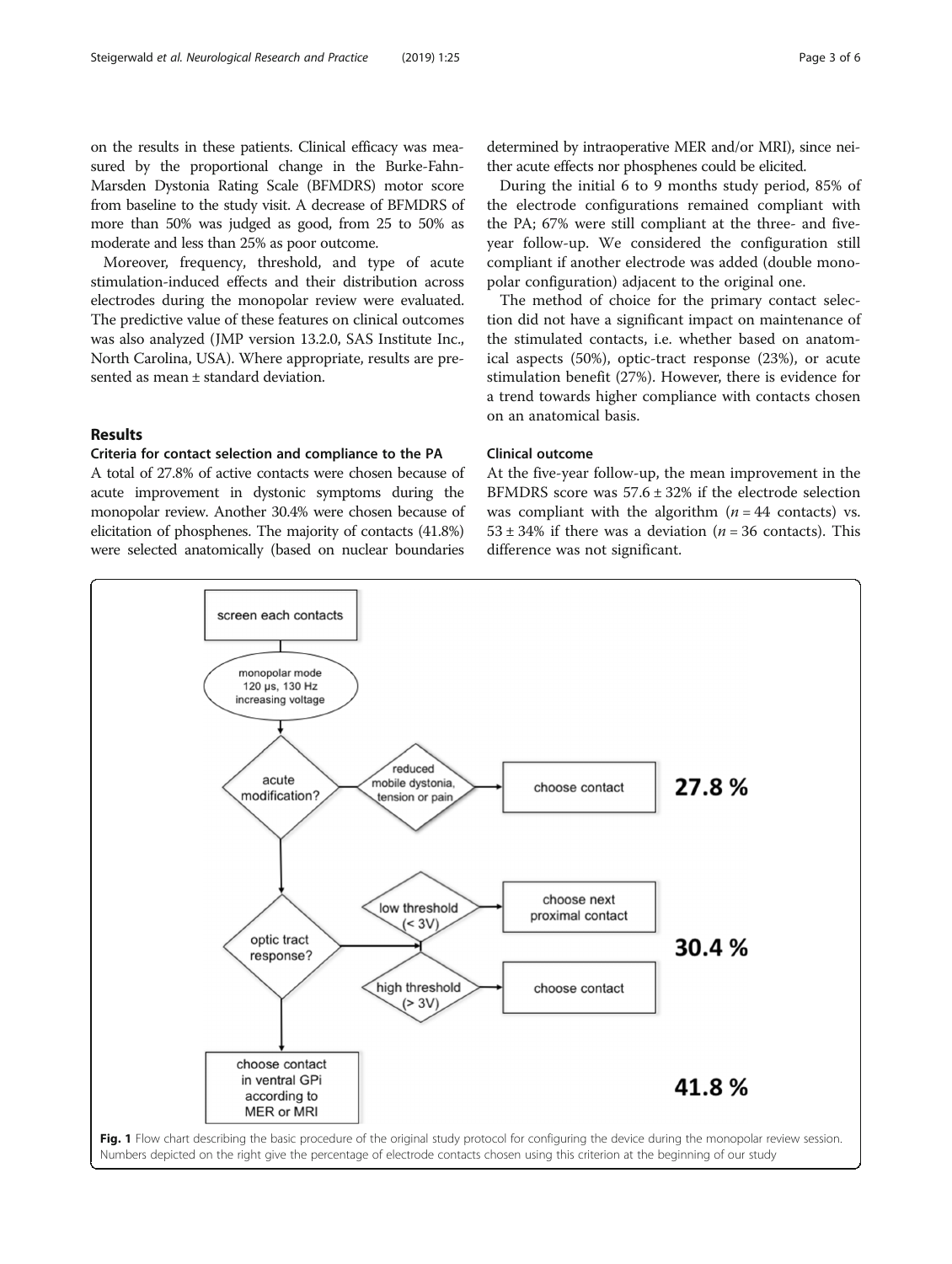<span id="page-2-0"></span>on the results in these patients. Clinical efficacy was measured by the proportional change in the Burke-Fahn-Marsden Dystonia Rating Scale (BFMDRS) motor score from baseline to the study visit. A decrease of BFMDRS of more than 50% was judged as good, from 25 to 50% as moderate and less than 25% as poor outcome.

Moreover, frequency, threshold, and type of acute stimulation-induced effects and their distribution across electrodes during the monopolar review were evaluated. The predictive value of these features on clinical outcomes was also analyzed (JMP version 13.2.0, SAS Institute Inc., North Carolina, USA). Where appropriate, results are presented as mean ± standard deviation.

# Results

# Criteria for contact selection and compliance to the PA

A total of 27.8% of active contacts were chosen because of acute improvement in dystonic symptoms during the monopolar review. Another 30.4% were chosen because of elicitation of phosphenes. The majority of contacts (41.8%) were selected anatomically (based on nuclear boundaries

determined by intraoperative MER and/or MRI), since neither acute effects nor phosphenes could be elicited.

During the initial 6 to 9 months study period, 85% of the electrode configurations remained compliant with the PA; 67% were still compliant at the three- and fiveyear follow-up. We considered the configuration still compliant if another electrode was added (double monopolar configuration) adjacent to the original one.

The method of choice for the primary contact selection did not have a significant impact on maintenance of the stimulated contacts, i.e. whether based on anatomical aspects (50%), optic-tract response (23%), or acute stimulation benefit (27%). However, there is evidence for a trend towards higher compliance with contacts chosen on an anatomical basis.

# Clinical outcome

At the five-year follow-up, the mean improvement in the BFMDRS score was  $57.6 \pm 32\%$  if the electrode selection was compliant with the algorithm  $(n = 44$  contacts) vs. 53 ± 34% if there was a deviation ( $n = 36$  contacts). This difference was not significant.

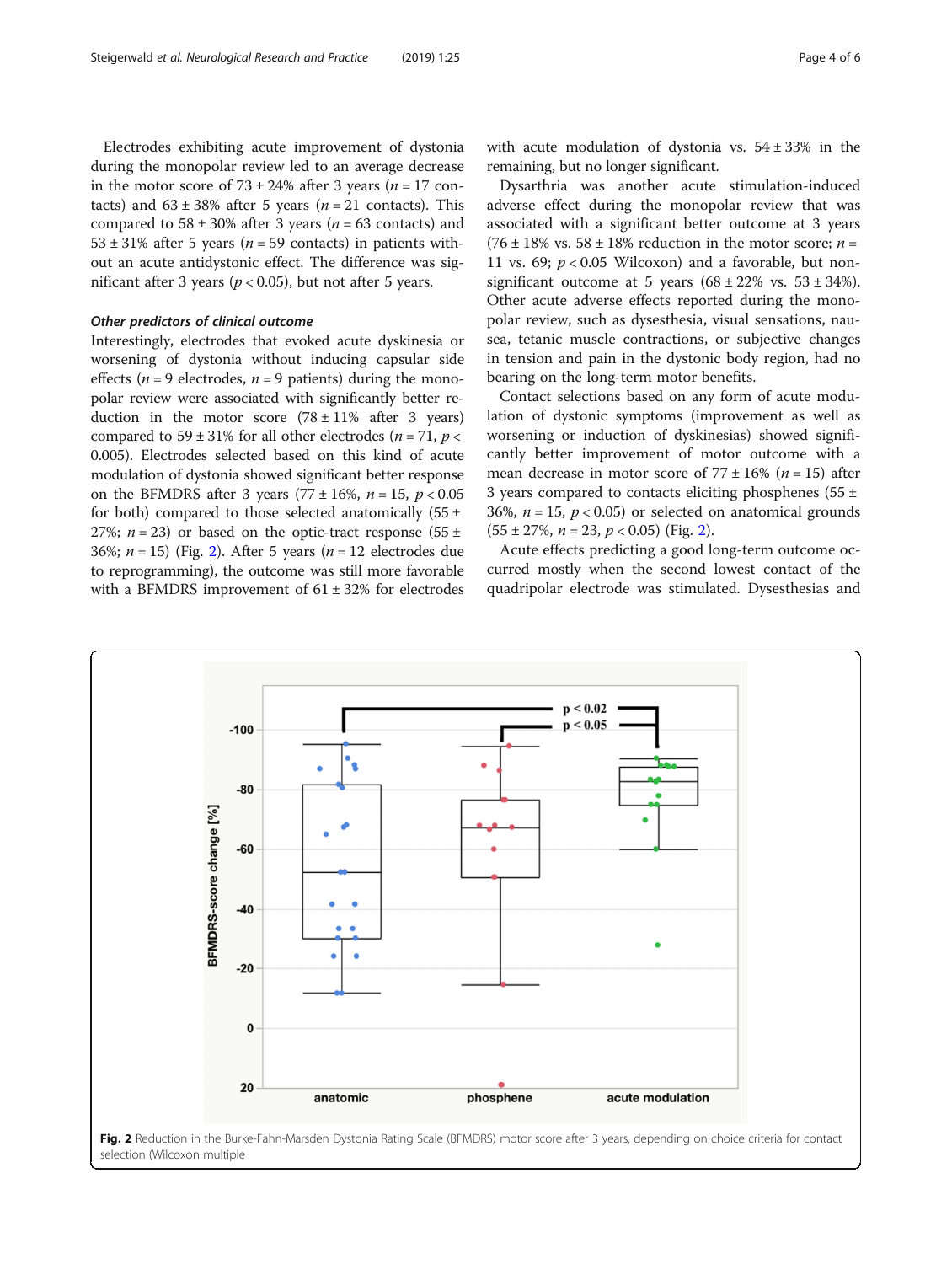Electrodes exhibiting acute improvement of dystonia during the monopolar review led to an average decrease in the motor score of  $73 \pm 24\%$  after 3 years (*n* = 17 contacts) and  $63 \pm 38\%$  after 5 years ( $n = 21$  contacts). This compared to  $58 \pm 30\%$  after 3 years ( $n = 63$  contacts) and  $53 \pm 31\%$  after 5 years (*n* = 59 contacts) in patients without an acute antidystonic effect. The difference was significant after 3 years ( $p < 0.05$ ), but not after 5 years.

# Other predictors of clinical outcome

Interestingly, electrodes that evoked acute dyskinesia or worsening of dystonia without inducing capsular side effects ( $n = 9$  electrodes,  $n = 9$  patients) during the monopolar review were associated with significantly better reduction in the motor score  $(78 \pm 11\%)$  after 3 years) compared to 59  $\pm$  31% for all other electrodes (*n* = 71, *p* < 0.005). Electrodes selected based on this kind of acute modulation of dystonia showed significant better response on the BFMDRS after 3 years (77 ± 16%,  $n = 15$ ,  $p < 0.05$ ) for both) compared to those selected anatomically  $(55 \pm 1)$ 27%;  $n = 23$ ) or based on the optic-tract response (55 ± 36%;  $n = 15$ ) (Fig. 2). After 5 years ( $n = 12$  electrodes due to reprogramming), the outcome was still more favorable with a BFMDRS improvement of  $61 \pm 32\%$  for electrodes with acute modulation of dystonia vs.  $54 \pm 33$ % in the remaining, but no longer significant.

Dysarthria was another acute stimulation-induced adverse effect during the monopolar review that was associated with a significant better outcome at 3 years (76  $\pm$  18% vs. 58  $\pm$  18% reduction in the motor score; *n* = 11 vs. 69;  $p < 0.05$  Wilcoxon) and a favorable, but nonsignificant outcome at 5 years  $(68 \pm 22\% \text{ vs. } 53 \pm 34\%).$ Other acute adverse effects reported during the monopolar review, such as dysesthesia, visual sensations, nausea, tetanic muscle contractions, or subjective changes in tension and pain in the dystonic body region, had no bearing on the long-term motor benefits.

Contact selections based on any form of acute modulation of dystonic symptoms (improvement as well as worsening or induction of dyskinesias) showed significantly better improvement of motor outcome with a mean decrease in motor score of  $77 \pm 16\%$  (*n* = 15) after 3 years compared to contacts eliciting phosphenes ( $55 \pm$ 36%,  $n = 15$ ,  $p < 0.05$ ) or selected on anatomical grounds  $(55 \pm 27\%, n = 23, p < 0.05)$  (Fig. 2).

Acute effects predicting a good long-term outcome occurred mostly when the second lowest contact of the quadripolar electrode was stimulated. Dysesthesias and



selection (Wilcoxon multiple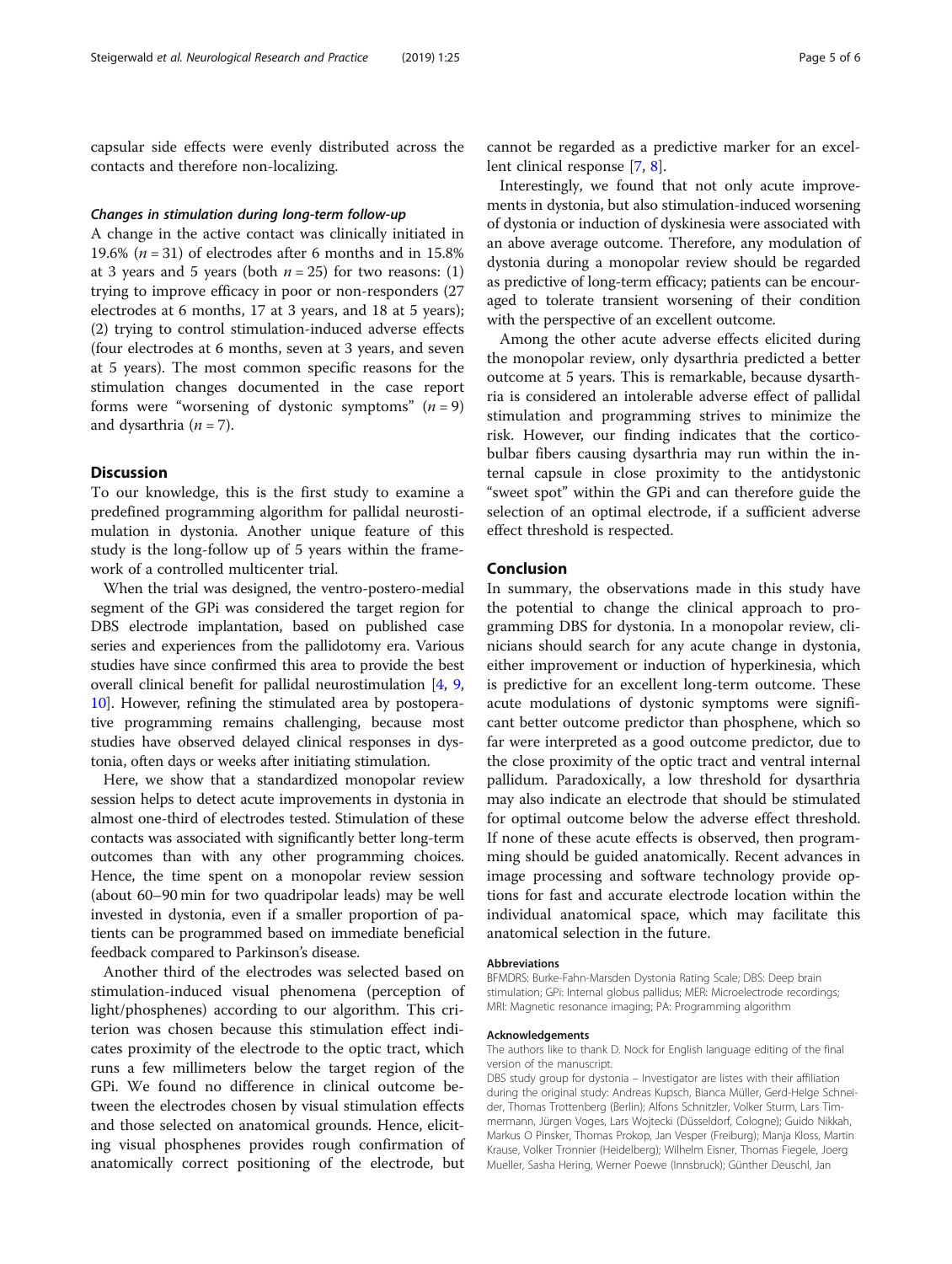capsular side effects were evenly distributed across the

contacts and therefore non-localizing.

## Changes in stimulation during long-term follow-up

A change in the active contact was clinically initiated in 19.6%  $(n = 31)$  of electrodes after 6 months and in 15.8% at 3 years and 5 years (both  $n = 25$ ) for two reasons: (1) trying to improve efficacy in poor or non-responders (27 electrodes at 6 months, 17 at 3 years, and 18 at 5 years); (2) trying to control stimulation-induced adverse effects (four electrodes at 6 months, seven at 3 years, and seven at 5 years). The most common specific reasons for the stimulation changes documented in the case report forms were "worsening of dystonic symptoms"  $(n = 9)$ and dysarthria  $(n = 7)$ .

# **Discussion**

To our knowledge, this is the first study to examine a predefined programming algorithm for pallidal neurostimulation in dystonia. Another unique feature of this study is the long-follow up of 5 years within the framework of a controlled multicenter trial.

When the trial was designed, the ventro-postero-medial segment of the GPi was considered the target region for DBS electrode implantation, based on published case series and experiences from the pallidotomy era. Various studies have since confirmed this area to provide the best overall clinical benefit for pallidal neurostimulation [[4,](#page-5-0) [9](#page-5-0), [10](#page-5-0)]. However, refining the stimulated area by postoperative programming remains challenging, because most studies have observed delayed clinical responses in dystonia, often days or weeks after initiating stimulation.

Here, we show that a standardized monopolar review session helps to detect acute improvements in dystonia in almost one-third of electrodes tested. Stimulation of these contacts was associated with significantly better long-term outcomes than with any other programming choices. Hence, the time spent on a monopolar review session (about 60–90 min for two quadripolar leads) may be well invested in dystonia, even if a smaller proportion of patients can be programmed based on immediate beneficial feedback compared to Parkinson's disease.

Another third of the electrodes was selected based on stimulation-induced visual phenomena (perception of light/phosphenes) according to our algorithm. This criterion was chosen because this stimulation effect indicates proximity of the electrode to the optic tract, which runs a few millimeters below the target region of the GPi. We found no difference in clinical outcome between the electrodes chosen by visual stimulation effects and those selected on anatomical grounds. Hence, eliciting visual phosphenes provides rough confirmation of anatomically correct positioning of the electrode, but

cannot be regarded as a predictive marker for an excellent clinical response [[7,](#page-5-0) [8\]](#page-5-0).

Interestingly, we found that not only acute improvements in dystonia, but also stimulation-induced worsening of dystonia or induction of dyskinesia were associated with an above average outcome. Therefore, any modulation of dystonia during a monopolar review should be regarded as predictive of long-term efficacy; patients can be encouraged to tolerate transient worsening of their condition with the perspective of an excellent outcome.

Among the other acute adverse effects elicited during the monopolar review, only dysarthria predicted a better outcome at 5 years. This is remarkable, because dysarthria is considered an intolerable adverse effect of pallidal stimulation and programming strives to minimize the risk. However, our finding indicates that the corticobulbar fibers causing dysarthria may run within the internal capsule in close proximity to the antidystonic "sweet spot" within the GPi and can therefore guide the selection of an optimal electrode, if a sufficient adverse effect threshold is respected.

# Conclusion

In summary, the observations made in this study have the potential to change the clinical approach to programming DBS for dystonia. In a monopolar review, clinicians should search for any acute change in dystonia, either improvement or induction of hyperkinesia, which is predictive for an excellent long-term outcome. These acute modulations of dystonic symptoms were significant better outcome predictor than phosphene, which so far were interpreted as a good outcome predictor, due to the close proximity of the optic tract and ventral internal pallidum. Paradoxically, a low threshold for dysarthria may also indicate an electrode that should be stimulated for optimal outcome below the adverse effect threshold. If none of these acute effects is observed, then programming should be guided anatomically. Recent advances in image processing and software technology provide options for fast and accurate electrode location within the individual anatomical space, which may facilitate this anatomical selection in the future.

#### Abbreviations

BFMDRS: Burke-Fahn-Marsden Dystonia Rating Scale; DBS: Deep brain stimulation; GPi: Internal globus pallidus; MER: Microelectrode recordings; MRI: Magnetic resonance imaging; PA: Programming algorithm

#### Acknowledgements

The authors like to thank D. Nock for English language editing of the final version of the manuscript.

DBS study group for dystonia – Investigator are listes with their affiliation during the original study: Andreas Kupsch, Bianca Müller, Gerd-Helge Schneider, Thomas Trottenberg (Berlin); Alfons Schnitzler, Volker Sturm, Lars Timmermann, Jürgen Voges, Lars Wojtecki (Düsseldorf, Cologne); Guido Nikkah, Markus O Pinsker, Thomas Prokop, Jan Vesper (Freiburg); Manja Kloss, Martin Krause, Volker Tronnier (Heidelberg); Wilhelm Eisner, Thomas Fiegele, Joerg Mueller, Sasha Hering, Werner Poewe (Innsbruck); Günther Deuschl, Jan